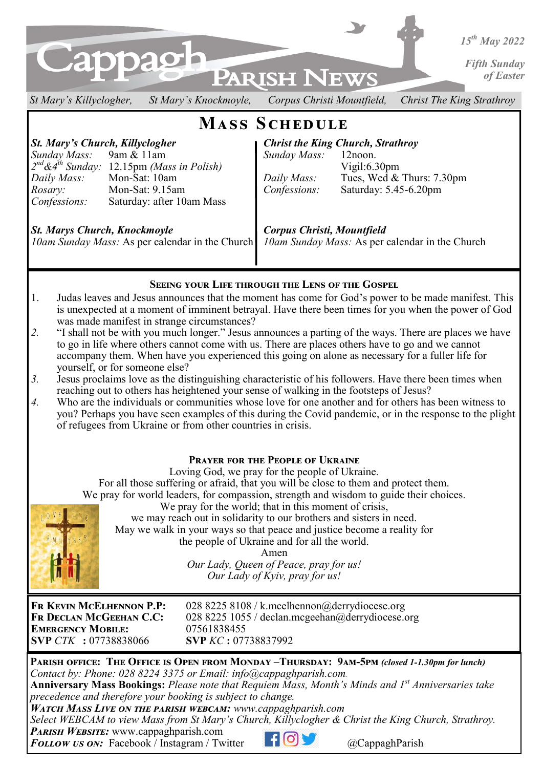

*St Mary's Killyclogher, St Mary's Knockmoyle, Corpus Christi Mountfield, Christ The King Strathroy* 

# **Mass Schedule**

*Sunday Mass:* 9am & 11am *Sunday Mass:* 12noon. *2 nd&4th Sunday:* 12.15pm *(Mass in Polish)* Vigil:6.30pm *Daily Mass:* Mon-Sat: 10am *Daily Mass:* Tues, Wed & Thurs: 7.30pm *Rosary:* Mon-Sat: 9.15am *Confessions:* Saturday: 5.45-6.20pm *Confessions:* Saturday: after 10am Mass

*St. Mary's Church, Killyclogher* **Christ the King Church, Strathroy**<br> *Christ the King Church, Strathroy*<br> *Sunday Mass:* 12noon.

*St. Marys Church, Knockmoyle Corpus Christi, Mountfield* 

*10am Sunday Mass:* As per calendar in the Church *10am Sunday Mass:* As per calendar in the Church

# **Seeing your Life through the Lens of the Gospel**

- 1. Judas leaves and Jesus announces that the moment has come for God's power to be made manifest. This is unexpected at a moment of imminent betrayal. Have there been times for you when the power of God was made manifest in strange circumstances?
- *2.* "I shall not be with you much longer." Jesus announces a parting of the ways. There are places we have to go in life where others cannot come with us. There are places others have to go and we cannot accompany them. When have you experienced this going on alone as necessary for a fuller life for yourself, or for someone else?
- *3.* Jesus proclaims love as the distinguishing characteristic of his followers. Have there been times when reaching out to others has heightened your sense of walking in the footsteps of Jesus?
- *4.* Who are the individuals or communities whose love for one another and for others has been witness to you? Perhaps you have seen examples of this during the Covid pandemic, or in the response to the plight of refugees from Ukraine or from other countries in crisis.

# **Prayer for the People of Ukraine**

Loving God, we pray for the people of Ukraine.

For all those suffering or afraid, that you will be close to them and protect them. We pray for world leaders, for compassion, strength and wisdom to guide their choices.

We pray for the world; that in this moment of crisis, we may reach out in solidarity to our brothers and sisters in need.



the people of Ukraine and for all the world. Amen *Our Lady, Queen of Peace, pray for us! Our Lady of Kyiv, pray for us!* 

May we walk in your ways so that peace and justice become a reality for

**Emergency Mobile:** 07561838455 **SVP** *CTK* **:** 07738838066 **SVP** *KC* **:** 07738837992

**Fr Kevin McElhennon P.P:** 028 8225 8108 / k.mcelhennon@derrydiocese.org **Fr Declan McGeehan C.C:** 028 8225 1055 / declan.mcgeehan@derrydiocese.org

**Parish office: The Office is Open from Monday –Thursday: 9am-5pm** *(closed 1-1.30pm for lunch) Contact by: Phone: 028 8224 3375 or Email: info@cappaghparish.com.* 

**Anniversary Mass Bookings:** *Please note that Requiem Mass, Month's Minds and 1st Anniversaries take precedence and therefore your booking is subject to change.*

*Watch Mass Live on the parish webcam: www.cappaghparish.com* 

*Select WEBCAM to view Mass from St Mary's Church, Killyclogher & Christ the King Church, Strathroy.*

*Parish Website:* www.cappaghparish.com

*FOLLOW US ON:* Facebook / Instagram / Twitter **Film C** CappaghParish